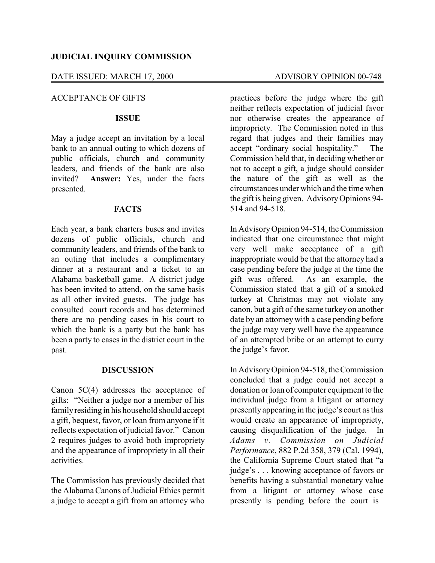## DATE ISSUED: MARCH 17, 2000 ADVISORY OPINION 00-748

# ACCEPTANCE OF GIFTS

# **ISSUE**

May a judge accept an invitation by a local bank to an annual outing to which dozens of public officials, church and community leaders, and friends of the bank are also invited? **Answer:** Yes, under the facts presented.

## **FACTS**

Each year, a bank charters buses and invites dozens of public officials, church and community leaders, and friends of the bank to an outing that includes a complimentary dinner at a restaurant and a ticket to an Alabama basketball game. A district judge has been invited to attend, on the same basis as all other invited guests. The judge has consulted court records and has determined there are no pending cases in his court to which the bank is a party but the bank has been a party to cases in the district court in the past.

## **DISCUSSION**

Canon 5C(4) addresses the acceptance of gifts: "Neither a judge nor a member of his familyresiding in his household should accept a gift, bequest, favor, or loan from anyone if it reflects expectation of judicial favor." Canon 2 requires judges to avoid both impropriety and the appearance of impropriety in all their activities.

The Commission has previously decided that the AlabamaCanons of Judicial Ethics permit a judge to accept a gift from an attorney who

practices before the judge where the gift neither reflects expectation of judicial favor nor otherwise creates the appearance of impropriety. The Commission noted in this regard that judges and their families may accept "ordinary social hospitality." The Commission held that, in deciding whether or not to accept a gift, a judge should consider the nature of the gift as well as the circumstances under which and the time when the gift is being given. AdvisoryOpinions 94- 514 and 94-518.

In AdvisoryOpinion 94-514, the Commission indicated that one circumstance that might very well make acceptance of a gift inappropriate would be that the attorney had a case pending before the judge at the time the gift was offered. As an example, the Commission stated that a gift of a smoked turkey at Christmas may not violate any canon, but a gift of the same turkey on another date by an attorney with a case pending before the judge may very well have the appearance of an attempted bribe or an attempt to curry the judge's favor.

In AdvisoryOpinion 94-518, the Commission concluded that a judge could not accept a donation or loan of computer equipment to the individual judge from a litigant or attorney presently appearing in the judge's court as this would create an appearance of impropriety, causing disqualification of the judge. In *Adams v. Commission on Judicial Performance*, 882 P.2d 358, 379 (Cal. 1994), the California Supreme Court stated that "a judge's . . . knowing acceptance of favors or benefits having a substantial monetary value from a litigant or attorney whose case presently is pending before the court is